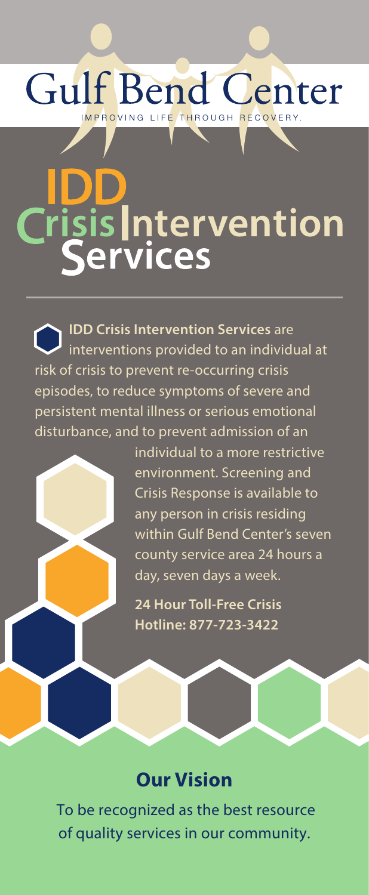## **Gulf Bend Center** IMPROVING LIFE THROUGH RECOVERY.

# is **|**ntervention ervices

**IDD Crisis Intervention Services** are interventions provided to an individual at risk of crisis to prevent re-occurring crisis episodes, to reduce symptoms of severe and persistent mental illness or serious emotional disturbance, and to prevent admission of an

individual to a more restrictive environment. Screening and Crisis Response is available to any person in crisis residing within Gulf Bend Center's seven county service area 24 hours a day, seven days a week.

**24 Hour Toll-Free Crisis Hotline: 877-723-3422**

### **Our Vision**

To be recognized as the best resource of quality services in our community.